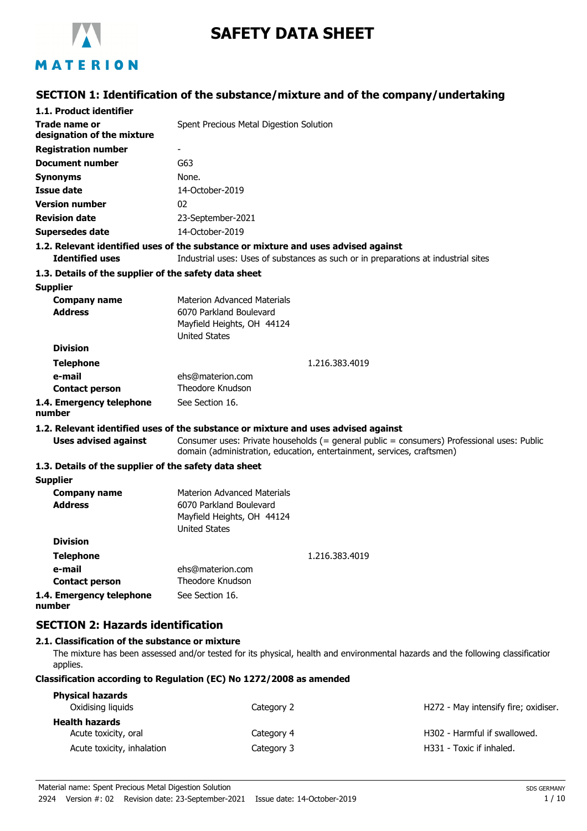

# **SAFETY DATA SHEET**

# MATERION

# **SECTION 1: Identification of the substance/mixture and of the company/undertaking**

| 1.1. Product identifier                               |                                                                                                                                                                          |
|-------------------------------------------------------|--------------------------------------------------------------------------------------------------------------------------------------------------------------------------|
| Trade name or<br>designation of the mixture           | Spent Precious Metal Digestion Solution                                                                                                                                  |
| <b>Registration number</b>                            |                                                                                                                                                                          |
| <b>Document number</b>                                | G63                                                                                                                                                                      |
| <b>Synonyms</b>                                       | None.                                                                                                                                                                    |
| <b>Issue date</b>                                     | 14-October-2019                                                                                                                                                          |
| <b>Version number</b>                                 | 02                                                                                                                                                                       |
| <b>Revision date</b>                                  | 23-September-2021                                                                                                                                                        |
| <b>Supersedes date</b>                                | 14-October-2019                                                                                                                                                          |
| <b>Identified uses</b>                                | 1.2. Relevant identified uses of the substance or mixture and uses advised against<br>Industrial uses: Uses of substances as such or in preparations at industrial sites |
| 1.3. Details of the supplier of the safety data sheet |                                                                                                                                                                          |
| <b>Supplier</b>                                       |                                                                                                                                                                          |
| <b>Company name</b>                                   | <b>Materion Advanced Materials</b>                                                                                                                                       |
| <b>Address</b>                                        | 6070 Parkland Boulevard                                                                                                                                                  |
|                                                       | Mayfield Heights, OH 44124                                                                                                                                               |
| <b>Division</b>                                       | <b>United States</b>                                                                                                                                                     |
|                                                       |                                                                                                                                                                          |
| <b>Telephone</b><br>e-mail                            | 1.216.383.4019<br>ehs@materion.com                                                                                                                                       |
| <b>Contact person</b>                                 | Theodore Knudson                                                                                                                                                         |
| 1.4. Emergency telephone<br>number                    | See Section 16.                                                                                                                                                          |
|                                                       | 1.2. Relevant identified uses of the substance or mixture and uses advised against                                                                                       |
| <b>Uses advised against</b>                           | Consumer uses: Private households (= general public = consumers) Professional uses: Public<br>domain (administration, education, entertainment, services, craftsmen)     |
| 1.3. Details of the supplier of the safety data sheet |                                                                                                                                                                          |
| <b>Supplier</b>                                       |                                                                                                                                                                          |
| <b>Company name</b>                                   | <b>Materion Advanced Materials</b>                                                                                                                                       |
| <b>Address</b>                                        | 6070 Parkland Boulevard                                                                                                                                                  |
|                                                       | Mayfield Heights, OH 44124                                                                                                                                               |
| <b>Division</b>                                       | <b>United States</b>                                                                                                                                                     |
|                                                       |                                                                                                                                                                          |
| <b>Telephone</b><br>e-mail                            | 1.216.383.4019                                                                                                                                                           |
| <b>Contact person</b>                                 | ehs@materion.com<br>Theodore Knudson                                                                                                                                     |
| 1.4. Emergency telephone                              | See Section 16.                                                                                                                                                          |
| number                                                |                                                                                                                                                                          |
| <b>SECTION 2: Hazards identification</b>              |                                                                                                                                                                          |
| 2.1. Classification of the substance or mixture       |                                                                                                                                                                          |
| applies.                                              | The mixture has been assessed and/or tested for its physical, health and environmental hazards and the following classificatior                                          |
|                                                       | Classification according to Regulation (EC) No 1272/2008 as amended                                                                                                      |

| <b>Physical hazards</b><br>Oxidising liquids | Category 2 | H272 - May intensify fire; oxidiser. |
|----------------------------------------------|------------|--------------------------------------|
| <b>Health hazards</b>                        |            |                                      |
| Acute toxicity, oral                         | Category 4 | H302 - Harmful if swallowed.         |
| Acute toxicity, inhalation                   | Category 3 | H331 - Toxic if inhaled.             |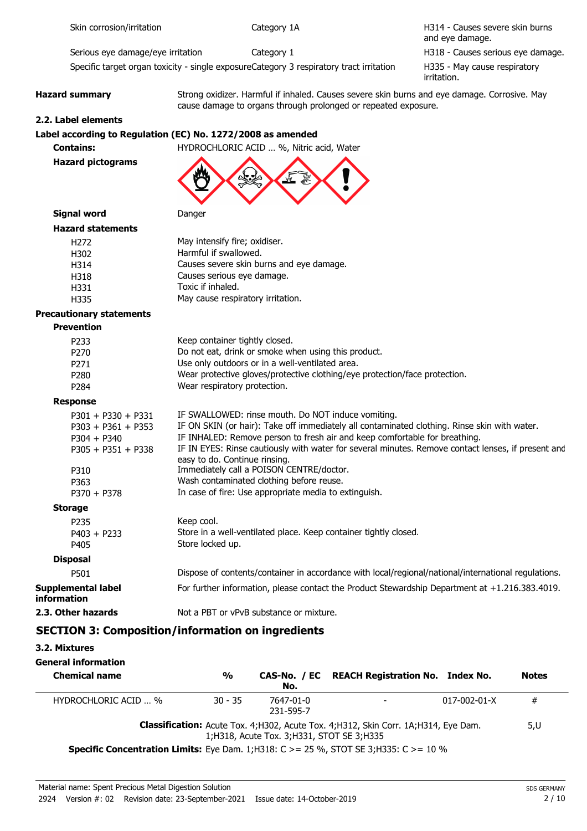cause damage to organs through prolonged or repeated exposure.

H314 - Causes severe skin burns and eye damage. Serious eye damage/eye irritation  $Cateqory 1$  example that the H318 - Causes serious eye damage.

Specific target organ toxicity - single exposureCategory 3 respiratory tract irritation

H335 - May cause respiratory irritation.

#### **Hazard summary** Strong oxidizer. Harmful if inhaled. Causes severe skin burns and eye damage. Corrosive. May

**2.2. Label elements**

#### **Label according to Regulation (EC) No. 1272/2008 as amended**



**Contains:** HYDROCHLORIC ACID … %, Nitric acid, Water



**Signal word Danger** 

| <b>Hazard statements</b> |
|--------------------------|
|                          |

| ai u statcilicilts |                                          |
|--------------------|------------------------------------------|
| H272               | May intensify fire; oxidiser.            |
| H302               | Harmful if swallowed.                    |
| H314               | Causes severe skin burns and eye damage. |
| H318               | Causes serious eye damage.               |
| H331               | Toxic if inhaled.                        |
| H335               | May cause respiratory irritation.        |
|                    |                                          |

### **Precautionary statements**

#### **Prevention** P233 Keep container tightly closed. P270 Do not eat, drink or smoke when using this product. P271 Use only outdoors or in a well-ventilated area.<br>
P280 Wear protective gloves/protective clothing/eve Wear protective gloves/protective clothing/eye protection/face protection. P284 Wear respiratory protection. **Response** P301 + P330 + P331 IF SWALLOWED: rinse mouth. Do NOT induce vomiting. P303 + P361 + P353 IF ON SKIN (or hair): Take off immediately all contaminated clothing. Rinse skin with water. P304 + P340 IF INHALED: Remove person to fresh air and keep comfortable for breathing. P305 + P351 + P338 IF IN EYES: Rinse cautiously with water for several minutes. Remove contact lenses, if present and easy to do. Continue rinsing. P310 Immediately call a POISON CENTRE/doctor. P363 Wash contaminated clothing before reuse. P370 + P378 In case of fire: Use appropriate media to extinguish. **Storage** P235 Keep cool. P403 + P233 Store in a well-ventilated place. Keep container tightly closed. P405 Store locked up. **Disposal** P501 Dispose of contents/container in accordance with local/regional/national/international regulations. **Supplemental label information** For further information, please contact the Product Stewardship Department at +1.216.383.4019. **2.3. Other hazards** Not a PBT or vPvB substance or mixture.

# **SECTION 3: Composition/information on ingredients**

| 3.2. Mixtures                                                                                 |               |                                              |                                                                                           |                      |              |
|-----------------------------------------------------------------------------------------------|---------------|----------------------------------------------|-------------------------------------------------------------------------------------------|----------------------|--------------|
| General information                                                                           |               |                                              |                                                                                           |                      |              |
| <b>Chemical name</b>                                                                          | $\frac{0}{0}$ | No.                                          | CAS-No. / EC REACH Registration No. Index No.                                             |                      | <b>Notes</b> |
| HYDROCHLORIC ACID  %                                                                          | $30 - 35$     | 7647-01-0<br>231-595-7                       |                                                                                           | $017 - 002 - 01 - X$ | #            |
|                                                                                               |               | 1; H318, Acute Tox. 3; H331, STOT SE 3; H335 | <b>Classification:</b> Acute Tox. 4;H302, Acute Tox. 4;H312, Skin Corr. 1A;H314, Eye Dam. |                      | 5,U          |
| <b>Specific Concentration Limits:</b> Eye Dam. 1;H318: C > = 25 %, STOT SE 3;H335: C > = 10 % |               |                                              |                                                                                           |                      |              |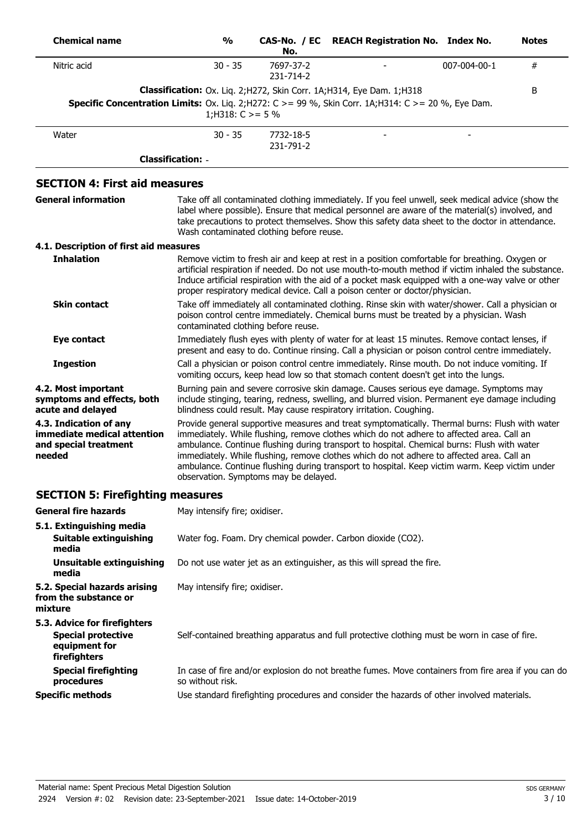| <b>Chemical name</b>                                                                                              | $\frac{0}{0}$                            | No.                    | CAS-No. / EC REACH Registration No. Index No.                                                                                                                                                                                                                                                                                                                                                                                                                                             |              | <b>Notes</b> |
|-------------------------------------------------------------------------------------------------------------------|------------------------------------------|------------------------|-------------------------------------------------------------------------------------------------------------------------------------------------------------------------------------------------------------------------------------------------------------------------------------------------------------------------------------------------------------------------------------------------------------------------------------------------------------------------------------------|--------------|--------------|
| Nitric acid                                                                                                       | $30 - 35$                                | 7697-37-2<br>231-714-2 |                                                                                                                                                                                                                                                                                                                                                                                                                                                                                           | 007-004-00-1 | $\#$         |
| <b>Specific Concentration Limits:</b> Ox. Liq. 2; H272: $C > = 99$ %, Skin Corr. 1A; H314: $C > = 20$ %, Eye Dam. | 1;H318: $C \ge 5\%$                      |                        | Classification: Ox. Liq. 2; H272, Skin Corr. 1A; H314, Eye Dam. 1; H318                                                                                                                                                                                                                                                                                                                                                                                                                   |              | B            |
| Water                                                                                                             | $30 - 35$                                | 7732-18-5<br>231-791-2 |                                                                                                                                                                                                                                                                                                                                                                                                                                                                                           |              |              |
|                                                                                                                   | <b>Classification: -</b>                 |                        |                                                                                                                                                                                                                                                                                                                                                                                                                                                                                           |              |              |
| <b>SECTION 4: First aid measures</b>                                                                              |                                          |                        |                                                                                                                                                                                                                                                                                                                                                                                                                                                                                           |              |              |
| <b>General information</b>                                                                                        | Wash contaminated clothing before reuse. |                        | Take off all contaminated clothing immediately. If you feel unwell, seek medical advice (show the<br>label where possible). Ensure that medical personnel are aware of the material(s) involved, and<br>take precautions to protect themselves. Show this safety data sheet to the doctor in attendance.                                                                                                                                                                                  |              |              |
| 4.1. Description of first aid measures                                                                            |                                          |                        |                                                                                                                                                                                                                                                                                                                                                                                                                                                                                           |              |              |
| <b>Inhalation</b>                                                                                                 |                                          |                        | Remove victim to fresh air and keep at rest in a position comfortable for breathing. Oxygen or<br>artificial respiration if needed. Do not use mouth-to-mouth method if victim inhaled the substance.<br>Induce artificial respiration with the aid of a pocket mask equipped with a one-way valve or other<br>proper respiratory medical device. Call a poison center or doctor/physician.                                                                                               |              |              |
| <b>Skin contact</b>                                                                                               | contaminated clothing before reuse.      |                        | Take off immediately all contaminated clothing. Rinse skin with water/shower. Call a physician or<br>poison control centre immediately. Chemical burns must be treated by a physician. Wash                                                                                                                                                                                                                                                                                               |              |              |
| <b>Eye contact</b>                                                                                                |                                          |                        | Immediately flush eyes with plenty of water for at least 15 minutes. Remove contact lenses, if<br>present and easy to do. Continue rinsing. Call a physician or poison control centre immediately.                                                                                                                                                                                                                                                                                        |              |              |
| <b>Ingestion</b>                                                                                                  |                                          |                        | Call a physician or poison control centre immediately. Rinse mouth. Do not induce vomiting. If<br>vomiting occurs, keep head low so that stomach content doesn't get into the lungs.                                                                                                                                                                                                                                                                                                      |              |              |
| 4.2. Most important<br>symptoms and effects, both<br>acute and delayed                                            |                                          |                        | Burning pain and severe corrosive skin damage. Causes serious eye damage. Symptoms may<br>include stinging, tearing, redness, swelling, and blurred vision. Permanent eye damage including<br>blindness could result. May cause respiratory irritation. Coughing.                                                                                                                                                                                                                         |              |              |
| 4.3. Indication of any<br>immediate medical attention<br>and special treatment<br>needed                          | observation. Symptoms may be delayed.    |                        | Provide general supportive measures and treat symptomatically. Thermal burns: Flush with water<br>immediately. While flushing, remove clothes which do not adhere to affected area. Call an<br>ambulance. Continue flushing during transport to hospital. Chemical burns: Flush with water<br>immediately. While flushing, remove clothes which do not adhere to affected area. Call an<br>ambulance. Continue flushing during transport to hospital. Keep victim warm. Keep victim under |              |              |
| <b>SECTION 5: Firefighting measures</b>                                                                           |                                          |                        |                                                                                                                                                                                                                                                                                                                                                                                                                                                                                           |              |              |
| <b>General fire hazards</b>                                                                                       | May intensify fire; oxidiser.            |                        |                                                                                                                                                                                                                                                                                                                                                                                                                                                                                           |              |              |
| 5.1. Extinguishing media<br><b>Suitable extinguishing</b><br>media                                                |                                          |                        | Water fog. Foam. Dry chemical powder. Carbon dioxide (CO2).                                                                                                                                                                                                                                                                                                                                                                                                                               |              |              |
| <b>Unsuitable extinguishing</b><br>media                                                                          |                                          |                        | Do not use water jet as an extinguisher, as this will spread the fire.                                                                                                                                                                                                                                                                                                                                                                                                                    |              |              |
| 5.2. Special hazards arising<br>from the substance or<br>mixture                                                  | May intensify fire; oxidiser.            |                        |                                                                                                                                                                                                                                                                                                                                                                                                                                                                                           |              |              |
| 5.3. Advice for firefighters<br><b>Special protective</b><br>equipment for<br>firefighters                        |                                          |                        | Self-contained breathing apparatus and full protective clothing must be worn in case of fire.                                                                                                                                                                                                                                                                                                                                                                                             |              |              |
| <b>Special firefighting</b>                                                                                       |                                          |                        | In case of fire and/or explosion do not breathe fumes. Move containers from fire area if you can do                                                                                                                                                                                                                                                                                                                                                                                       |              |              |

so without risk.

**Specific methods** Use standard firefighting procedures and consider the hazards of other involved materials.

**procedures**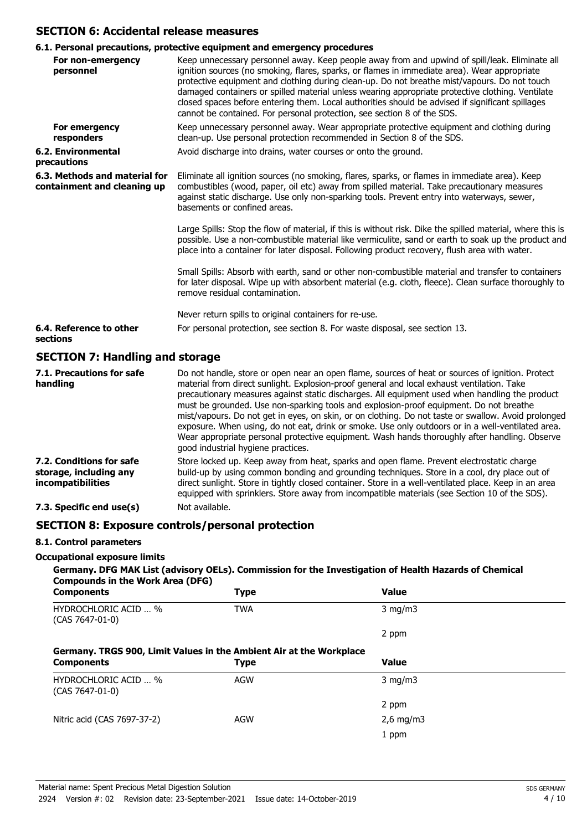#### **SECTION 6: Accidental release measures**

# **6.1. Personal precautions, protective equipment and emergency procedures**

|                                                              | v.1. reisonal precautions, protective equipment and emergency procedures                                                                                                                                                                                                                                                                                                                                                                                                                                                                                                          |
|--------------------------------------------------------------|-----------------------------------------------------------------------------------------------------------------------------------------------------------------------------------------------------------------------------------------------------------------------------------------------------------------------------------------------------------------------------------------------------------------------------------------------------------------------------------------------------------------------------------------------------------------------------------|
| For non-emergency<br>personnel                               | Keep unnecessary personnel away. Keep people away from and upwind of spill/leak. Eliminate all<br>ignition sources (no smoking, flares, sparks, or flames in immediate area). Wear appropriate<br>protective equipment and clothing during clean-up. Do not breathe mist/vapours. Do not touch<br>damaged containers or spilled material unless wearing appropriate protective clothing. Ventilate<br>closed spaces before entering them. Local authorities should be advised if significant spillages<br>cannot be contained. For personal protection, see section 8 of the SDS. |
| For emergency<br>responders                                  | Keep unnecessary personnel away. Wear appropriate protective equipment and clothing during<br>clean-up. Use personal protection recommended in Section 8 of the SDS.                                                                                                                                                                                                                                                                                                                                                                                                              |
| <b>6.2. Environmental</b><br>precautions                     | Avoid discharge into drains, water courses or onto the ground.                                                                                                                                                                                                                                                                                                                                                                                                                                                                                                                    |
| 6.3. Methods and material for<br>containment and cleaning up | Eliminate all ignition sources (no smoking, flares, sparks, or flames in immediate area). Keep<br>combustibles (wood, paper, oil etc) away from spilled material. Take precautionary measures<br>against static discharge. Use only non-sparking tools. Prevent entry into waterways, sewer,<br>basements or confined areas.                                                                                                                                                                                                                                                      |
|                                                              | Large Spills: Stop the flow of material, if this is without risk. Dike the spilled material, where this is<br>possible. Use a non-combustible material like vermiculite, sand or earth to soak up the product and<br>place into a container for later disposal. Following product recovery, flush area with water.                                                                                                                                                                                                                                                                |
|                                                              | Small Spills: Absorb with earth, sand or other non-combustible material and transfer to containers<br>for later disposal. Wipe up with absorbent material (e.g. cloth, fleece). Clean surface thoroughly to<br>remove residual contamination.                                                                                                                                                                                                                                                                                                                                     |
|                                                              | Never return spills to original containers for re-use.                                                                                                                                                                                                                                                                                                                                                                                                                                                                                                                            |
| 6.4. Reference to other<br>sections                          | For personal protection, see section 8. For waste disposal, see section 13.                                                                                                                                                                                                                                                                                                                                                                                                                                                                                                       |
| SECTION 7: Handling and storage                              |                                                                                                                                                                                                                                                                                                                                                                                                                                                                                                                                                                                   |

#### **SECTION 7: Handling and storage**

| 7.1. Precautions for safe<br>handling                                          | Do not handle, store or open near an open flame, sources of heat or sources of ignition. Protect<br>material from direct sunlight. Explosion-proof general and local exhaust ventilation. Take<br>precautionary measures against static discharges. All equipment used when handling the product<br>must be grounded. Use non-sparking tools and explosion-proof equipment. Do not breathe<br>mist/vapours. Do not get in eyes, on skin, or on clothing. Do not taste or swallow. Avoid prolonged<br>exposure. When using, do not eat, drink or smoke. Use only outdoors or in a well-ventilated area.<br>Wear appropriate personal protective equipment. Wash hands thoroughly after handling. Observe<br>good industrial hygiene practices. |
|--------------------------------------------------------------------------------|-----------------------------------------------------------------------------------------------------------------------------------------------------------------------------------------------------------------------------------------------------------------------------------------------------------------------------------------------------------------------------------------------------------------------------------------------------------------------------------------------------------------------------------------------------------------------------------------------------------------------------------------------------------------------------------------------------------------------------------------------|
| 7.2. Conditions for safe<br>storage, including any<br><i>incompatibilities</i> | Store locked up. Keep away from heat, sparks and open flame. Prevent electrostatic charge<br>build-up by using common bonding and grounding techniques. Store in a cool, dry place out of<br>direct sunlight. Store in tightly closed container. Store in a well-ventilated place. Keep in an area<br>equipped with sprinklers. Store away from incompatible materials (see Section 10 of the SDS).                                                                                                                                                                                                                                                                                                                                           |
| 7.3. Specific end use(s)                                                       | Not available.                                                                                                                                                                                                                                                                                                                                                                                                                                                                                                                                                                                                                                                                                                                                |

### **SECTION 8: Exposure controls/personal protection**

#### **8.1. Control parameters**

#### **Occupational exposure limits**

#### **Germany. DFG MAK List (advisory OELs). Commission for the Investigation of Health Hazards of Chemical Compounds in the Work Area (DFG)**

| <b>Components</b>                                                   | <b>Type</b> | <b>Value</b> |  |
|---------------------------------------------------------------------|-------------|--------------|--|
| <b>HYDROCHLORIC ACID  %</b><br>$(CAS 7647-01-0)$                    | <b>TWA</b>  | $3$ mg/m $3$ |  |
|                                                                     |             | 2 ppm        |  |
| Germany. TRGS 900, Limit Values in the Ambient Air at the Workplace |             |              |  |
| <b>Components</b>                                                   | <b>Type</b> | <b>Value</b> |  |
| <b>HYDROCHLORIC ACID  %</b><br>$(CAS 7647-01-0)$                    | <b>AGW</b>  | $3$ mg/m $3$ |  |
|                                                                     |             | 2 ppm        |  |
| Nitric acid (CAS 7697-37-2)                                         | <b>AGW</b>  | $2,6$ mg/m3  |  |
|                                                                     |             | 1 ppm        |  |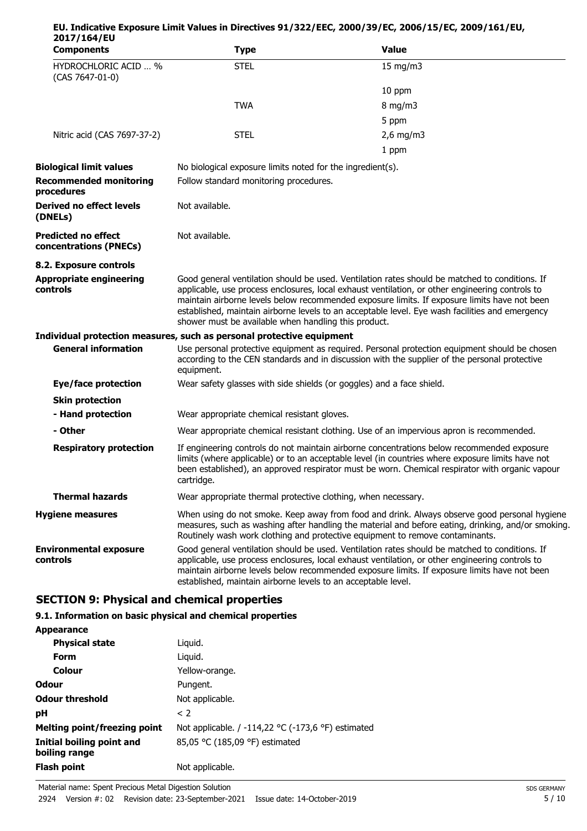| 2017/164/EU                                          |                                                                                                                                                                                                                                                                                                                                                                                                                                                              |                                                                                                                                                                                                                                                                                                   |  |  |  |
|------------------------------------------------------|--------------------------------------------------------------------------------------------------------------------------------------------------------------------------------------------------------------------------------------------------------------------------------------------------------------------------------------------------------------------------------------------------------------------------------------------------------------|---------------------------------------------------------------------------------------------------------------------------------------------------------------------------------------------------------------------------------------------------------------------------------------------------|--|--|--|
| <b>Components</b>                                    | <b>Type</b>                                                                                                                                                                                                                                                                                                                                                                                                                                                  | <b>Value</b>                                                                                                                                                                                                                                                                                      |  |  |  |
| HYDROCHLORIC ACID  %<br>(CAS 7647-01-0)              | <b>STEL</b>                                                                                                                                                                                                                                                                                                                                                                                                                                                  | 15 mg/m3                                                                                                                                                                                                                                                                                          |  |  |  |
|                                                      |                                                                                                                                                                                                                                                                                                                                                                                                                                                              | 10 ppm                                                                                                                                                                                                                                                                                            |  |  |  |
|                                                      | <b>TWA</b>                                                                                                                                                                                                                                                                                                                                                                                                                                                   | $8 \text{ mg/m}$                                                                                                                                                                                                                                                                                  |  |  |  |
|                                                      |                                                                                                                                                                                                                                                                                                                                                                                                                                                              | 5 ppm                                                                                                                                                                                                                                                                                             |  |  |  |
| Nitric acid (CAS 7697-37-2)                          | <b>STEL</b>                                                                                                                                                                                                                                                                                                                                                                                                                                                  | $2,6$ mg/m3                                                                                                                                                                                                                                                                                       |  |  |  |
|                                                      |                                                                                                                                                                                                                                                                                                                                                                                                                                                              | 1 ppm                                                                                                                                                                                                                                                                                             |  |  |  |
| <b>Biological limit values</b>                       | No biological exposure limits noted for the ingredient(s).                                                                                                                                                                                                                                                                                                                                                                                                   |                                                                                                                                                                                                                                                                                                   |  |  |  |
| <b>Recommended monitoring</b><br>procedures          | Follow standard monitoring procedures.                                                                                                                                                                                                                                                                                                                                                                                                                       |                                                                                                                                                                                                                                                                                                   |  |  |  |
| Derived no effect levels<br>(DNELs)                  | Not available.                                                                                                                                                                                                                                                                                                                                                                                                                                               |                                                                                                                                                                                                                                                                                                   |  |  |  |
| <b>Predicted no effect</b><br>concentrations (PNECs) | Not available.                                                                                                                                                                                                                                                                                                                                                                                                                                               |                                                                                                                                                                                                                                                                                                   |  |  |  |
| 8.2. Exposure controls                               |                                                                                                                                                                                                                                                                                                                                                                                                                                                              |                                                                                                                                                                                                                                                                                                   |  |  |  |
| <b>Appropriate engineering</b><br>controls           | Good general ventilation should be used. Ventilation rates should be matched to conditions. If<br>applicable, use process enclosures, local exhaust ventilation, or other engineering controls to<br>maintain airborne levels below recommended exposure limits. If exposure limits have not been<br>established, maintain airborne levels to an acceptable level. Eye wash facilities and emergency<br>shower must be available when handling this product. |                                                                                                                                                                                                                                                                                                   |  |  |  |
|                                                      | Individual protection measures, such as personal protective equipment                                                                                                                                                                                                                                                                                                                                                                                        |                                                                                                                                                                                                                                                                                                   |  |  |  |
| <b>General information</b>                           | Use personal protective equipment as required. Personal protection equipment should be chosen<br>according to the CEN standards and in discussion with the supplier of the personal protective<br>equipment.                                                                                                                                                                                                                                                 |                                                                                                                                                                                                                                                                                                   |  |  |  |
| <b>Eye/face protection</b>                           | Wear safety glasses with side shields (or goggles) and a face shield.                                                                                                                                                                                                                                                                                                                                                                                        |                                                                                                                                                                                                                                                                                                   |  |  |  |
| <b>Skin protection</b>                               |                                                                                                                                                                                                                                                                                                                                                                                                                                                              |                                                                                                                                                                                                                                                                                                   |  |  |  |
| - Hand protection                                    | Wear appropriate chemical resistant gloves.                                                                                                                                                                                                                                                                                                                                                                                                                  |                                                                                                                                                                                                                                                                                                   |  |  |  |
| - Other                                              |                                                                                                                                                                                                                                                                                                                                                                                                                                                              | Wear appropriate chemical resistant clothing. Use of an impervious apron is recommended.                                                                                                                                                                                                          |  |  |  |
| <b>Respiratory protection</b>                        | If engineering controls do not maintain airborne concentrations below recommended exposure<br>limits (where applicable) or to an acceptable level (in countries where exposure limits have not<br>been established), an approved respirator must be worn. Chemical respirator with organic vapour<br>cartridge.                                                                                                                                              |                                                                                                                                                                                                                                                                                                   |  |  |  |
| <b>Thermal hazards</b>                               | Wear appropriate thermal protective clothing, when necessary.                                                                                                                                                                                                                                                                                                                                                                                                |                                                                                                                                                                                                                                                                                                   |  |  |  |
| <b>Hygiene measures</b>                              |                                                                                                                                                                                                                                                                                                                                                                                                                                                              | When using do not smoke. Keep away from food and drink. Always observe good personal hygiene<br>measures, such as washing after handling the material and before eating, drinking, and/or smoking.<br>Routinely wash work clothing and protective equipment to remove contaminants.               |  |  |  |
| <b>Environmental exposure</b><br>controls            | established, maintain airborne levels to an acceptable level.                                                                                                                                                                                                                                                                                                                                                                                                | Good general ventilation should be used. Ventilation rates should be matched to conditions. If<br>applicable, use process enclosures, local exhaust ventilation, or other engineering controls to<br>maintain airborne levels below recommended exposure limits. If exposure limits have not been |  |  |  |

**EU. Indicative Exposure Limit Values in Directives 91/322/EEC, 2000/39/EC, 2006/15/EC, 2009/161/EU,**

# **SECTION 9: Physical and chemical properties**

#### **9.1. Information on basic physical and chemical properties**

| <b>Appearance</b> |
|-------------------|
|-------------------|

| <b>Appearance</b>                          |                                                    |
|--------------------------------------------|----------------------------------------------------|
| <b>Physical state</b>                      | Liguid.                                            |
| Form                                       | Liguid.                                            |
| Colour                                     | Yellow-orange.                                     |
| <b>Odour</b>                               | Pungent.                                           |
| <b>Odour threshold</b>                     | Not applicable.                                    |
| рH                                         | < 2                                                |
| <b>Melting point/freezing point</b>        | Not applicable. / -114,22 °C (-173,6 °F) estimated |
| Initial boiling point and<br>boiling range | 85,05 °C (185,09 °F) estimated                     |
| <b>Flash point</b>                         | Not applicable.                                    |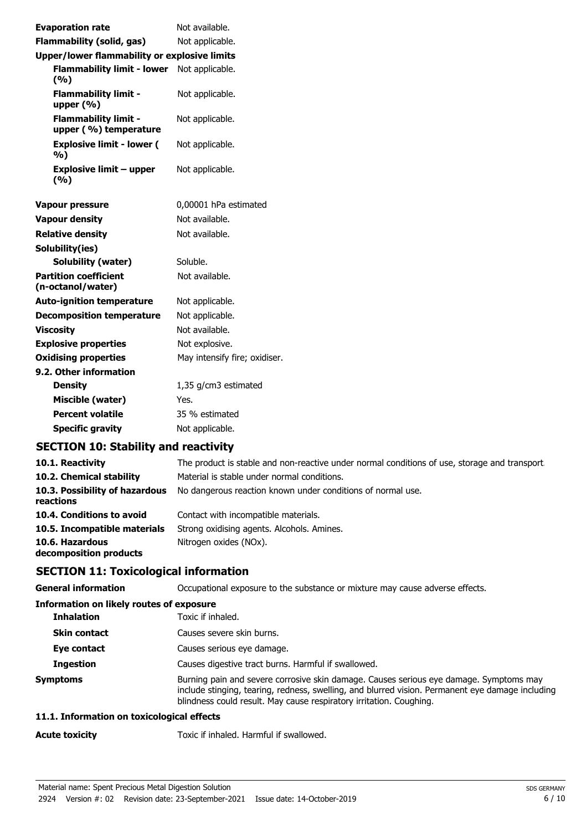| <b>Evaporation rate</b>                              | Not available.                |  |
|------------------------------------------------------|-------------------------------|--|
| <b>Flammability (solid, gas)</b>                     | Not applicable.               |  |
| Upper/lower flammability or explosive limits         |                               |  |
| Flammability limit - lower Not applicable.<br>(%)    |                               |  |
| <b>Flammability limit -</b><br>upper $(% )$          | Not applicable.               |  |
| <b>Flammability limit -</b><br>upper (%) temperature | Not applicable.               |  |
| <b>Explosive limit - lower (</b><br>%)               | Not applicable.               |  |
| <b>Explosive limit - upper</b><br>(9/6)              | Not applicable.               |  |
| <b>Vapour pressure</b>                               | 0,00001 hPa estimated         |  |
| <b>Vapour density</b>                                | Not available.                |  |
| <b>Relative density</b>                              | Not available.                |  |
| Solubility(ies)                                      |                               |  |
| Solubility (water)                                   | Soluble.                      |  |
| <b>Partition coefficient</b><br>(n-octanol/water)    | Not available.                |  |
| <b>Auto-ignition temperature</b>                     | Not applicable.               |  |
| <b>Decomposition temperature</b>                     | Not applicable.               |  |
| <b>Viscosity</b>                                     | Not available.                |  |
| <b>Explosive properties</b>                          | Not explosive.                |  |
| <b>Oxidising properties</b>                          | May intensify fire; oxidiser. |  |
| 9.2. Other information                               |                               |  |
| <b>Density</b>                                       | 1,35 g/cm3 estimated          |  |
| Miscible (water)                                     | Yes.                          |  |
| <b>Percent volatile</b>                              | 35 % estimated                |  |
| <b>Specific gravity</b>                              | Not applicable.               |  |

# **SECTION 10: Stability and reactivity**

| 10.1. Reactivity                            | The product is stable and non-reactive under normal conditions of use, storage and transport. |
|---------------------------------------------|-----------------------------------------------------------------------------------------------|
| 10.2. Chemical stability                    | Material is stable under normal conditions.                                                   |
| 10.3. Possibility of hazardous<br>reactions | No dangerous reaction known under conditions of normal use.                                   |
| 10.4. Conditions to avoid                   | Contact with incompatible materials.                                                          |
| 10.5. Incompatible materials                | Strong oxidising agents. Alcohols. Amines.                                                    |
| 10.6. Hazardous<br>decomposition products   | Nitrogen oxides (NOx).                                                                        |

# **SECTION 11: Toxicological information**

| <b>General information</b>                      | Occupational exposure to the substance or mixture may cause adverse effects.                                                                                                                                                                                      |
|-------------------------------------------------|-------------------------------------------------------------------------------------------------------------------------------------------------------------------------------------------------------------------------------------------------------------------|
| <b>Information on likely routes of exposure</b> |                                                                                                                                                                                                                                                                   |
| <b>Inhalation</b>                               | Toxic if inhaled.                                                                                                                                                                                                                                                 |
| <b>Skin contact</b>                             | Causes severe skin burns.                                                                                                                                                                                                                                         |
| Eye contact                                     | Causes serious eye damage.                                                                                                                                                                                                                                        |
| <b>Ingestion</b>                                | Causes digestive tract burns. Harmful if swallowed.                                                                                                                                                                                                               |
| <b>Symptoms</b>                                 | Burning pain and severe corrosive skin damage. Causes serious eye damage. Symptoms may<br>include stinging, tearing, redness, swelling, and blurred vision. Permanent eye damage including<br>blindness could result. May cause respiratory irritation. Coughing. |

#### **11.1. Information on toxicological effects**

Acute toxicity **Acute toxicity** Toxic if inhaled. Harmful if swallowed.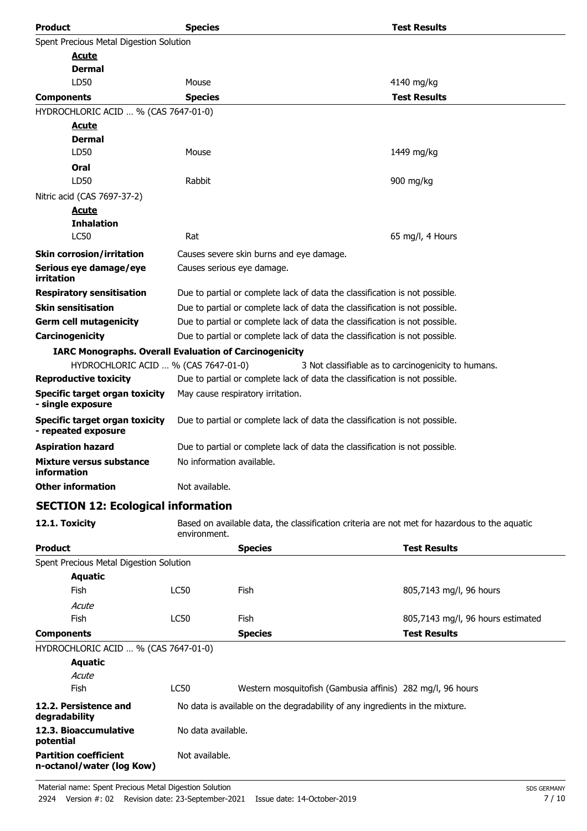| <b>Product</b>                                                | <b>Species</b>                                                              |                                                                                               | <b>Test Results</b>                                 |  |
|---------------------------------------------------------------|-----------------------------------------------------------------------------|-----------------------------------------------------------------------------------------------|-----------------------------------------------------|--|
| Spent Precious Metal Digestion Solution                       |                                                                             |                                                                                               |                                                     |  |
| <u>Acute</u>                                                  |                                                                             |                                                                                               |                                                     |  |
| Dermal                                                        |                                                                             |                                                                                               |                                                     |  |
| LD50                                                          | Mouse                                                                       |                                                                                               | 4140 mg/kg                                          |  |
| <b>Components</b>                                             | <b>Species</b>                                                              |                                                                                               | <b>Test Results</b>                                 |  |
| HYDROCHLORIC ACID  % (CAS 7647-01-0)                          |                                                                             |                                                                                               |                                                     |  |
| <u>Acute</u>                                                  |                                                                             |                                                                                               |                                                     |  |
| <b>Dermal</b>                                                 |                                                                             |                                                                                               |                                                     |  |
| LD50                                                          | Mouse                                                                       |                                                                                               | 1449 mg/kg                                          |  |
| Oral                                                          |                                                                             |                                                                                               |                                                     |  |
| LD50                                                          | Rabbit                                                                      |                                                                                               | 900 mg/kg                                           |  |
| Nitric acid (CAS 7697-37-2)                                   |                                                                             |                                                                                               |                                                     |  |
| <b>Acute</b>                                                  |                                                                             |                                                                                               |                                                     |  |
| <b>Inhalation</b><br><b>LC50</b>                              | Rat                                                                         |                                                                                               | 65 mg/l, 4 Hours                                    |  |
|                                                               |                                                                             |                                                                                               |                                                     |  |
| <b>Skin corrosion/irritation</b>                              |                                                                             | Causes severe skin burns and eye damage.                                                      |                                                     |  |
| Serious eye damage/eye<br>irritation                          |                                                                             | Causes serious eye damage.                                                                    |                                                     |  |
| <b>Respiratory sensitisation</b>                              |                                                                             | Due to partial or complete lack of data the classification is not possible.                   |                                                     |  |
| <b>Skin sensitisation</b>                                     |                                                                             | Due to partial or complete lack of data the classification is not possible.                   |                                                     |  |
| <b>Germ cell mutagenicity</b>                                 |                                                                             | Due to partial or complete lack of data the classification is not possible.                   |                                                     |  |
| Carcinogenicity                                               |                                                                             | Due to partial or complete lack of data the classification is not possible.                   |                                                     |  |
| <b>IARC Monographs. Overall Evaluation of Carcinogenicity</b> |                                                                             |                                                                                               |                                                     |  |
| HYDROCHLORIC ACID  % (CAS 7647-01-0)                          |                                                                             |                                                                                               | 3 Not classifiable as to carcinogenicity to humans. |  |
| <b>Reproductive toxicity</b>                                  | Due to partial or complete lack of data the classification is not possible. |                                                                                               |                                                     |  |
| <b>Specific target organ toxicity</b><br>- single exposure    | May cause respiratory irritation.                                           |                                                                                               |                                                     |  |
| <b>Specific target organ toxicity</b><br>- repeated exposure  | Due to partial or complete lack of data the classification is not possible. |                                                                                               |                                                     |  |
| <b>Aspiration hazard</b>                                      | Due to partial or complete lack of data the classification is not possible. |                                                                                               |                                                     |  |
| Mixture versus substance<br>information                       | No information available.                                                   |                                                                                               |                                                     |  |
| <b>Other information</b>                                      | Not available.                                                              |                                                                                               |                                                     |  |
| <b>SECTION 12: Ecological information</b>                     |                                                                             |                                                                                               |                                                     |  |
| 12.1. Toxicity                                                | environment.                                                                | Based on available data, the classification criteria are not met for hazardous to the aquatic |                                                     |  |
| <b>Product</b>                                                |                                                                             | <b>Species</b>                                                                                | <b>Test Results</b>                                 |  |
| Spent Precious Metal Digestion Solution                       |                                                                             |                                                                                               |                                                     |  |
| <b>Aquatic</b>                                                |                                                                             |                                                                                               |                                                     |  |
| <b>Fish</b>                                                   | LC50                                                                        | <b>Fish</b>                                                                                   | 805,7143 mg/l, 96 hours                             |  |
| Acute                                                         |                                                                             |                                                                                               |                                                     |  |
| Fish                                                          | LC50                                                                        | Fish                                                                                          | 805,7143 mg/l, 96 hours estimated                   |  |
| <b>Components</b>                                             |                                                                             | <b>Species</b>                                                                                | <b>Test Results</b>                                 |  |
| HYDROCHLORIC ACID  % (CAS 7647-01-0)                          |                                                                             |                                                                                               |                                                     |  |
| <b>Aquatic</b>                                                |                                                                             |                                                                                               |                                                     |  |
| Acute                                                         |                                                                             |                                                                                               |                                                     |  |
| Fish                                                          | <b>LC50</b>                                                                 | Western mosquitofish (Gambusia affinis) 282 mg/l, 96 hours                                    |                                                     |  |
| 12.2. Persistence and<br>degradability                        |                                                                             | No data is available on the degradability of any ingredients in the mixture.                  |                                                     |  |
| 12.3. Bioaccumulative<br>potential                            | No data available.                                                          |                                                                                               |                                                     |  |

Not available.

**Partition coefficient n-octanol/water (log Kow)**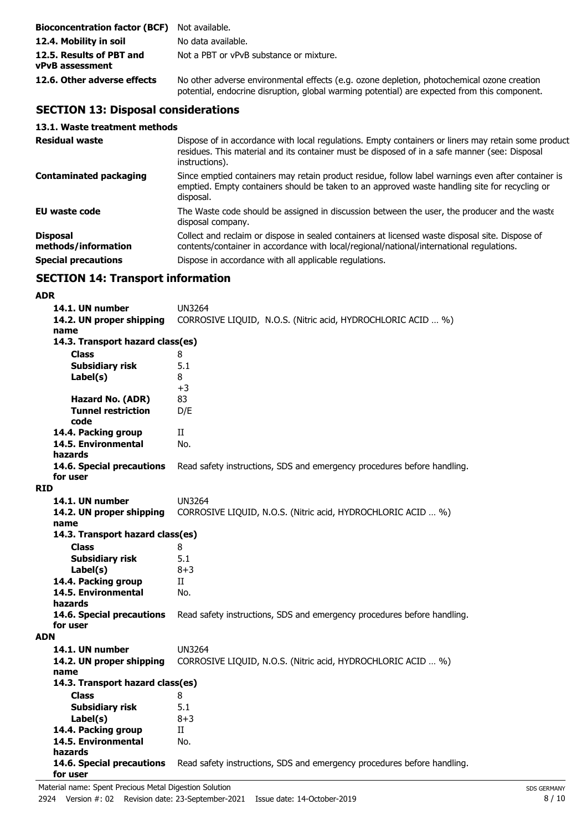| <b>Bioconcentration factor (BCF)</b> Not available. |                                                                                                                                                                                            |
|-----------------------------------------------------|--------------------------------------------------------------------------------------------------------------------------------------------------------------------------------------------|
| 12.4. Mobility in soil                              | No data available.                                                                                                                                                                         |
| 12.5. Results of PBT and<br><b>vPvB</b> assessment  | Not a PBT or vPvB substance or mixture.                                                                                                                                                    |
| 12.6. Other adverse effects                         | No other adverse environmental effects (e.g. ozone depletion, photochemical ozone creation<br>potential, endocrine disruption, global warming potential) are expected from this component. |

# **SECTION 13: Disposal considerations**

#### **13.1. Waste treatment methods**

| <b>Residual waste</b>                  | Dispose of in accordance with local regulations. Empty containers or liners may retain some product<br>residues. This material and its container must be disposed of in a safe manner (see: Disposal<br>instructions). |
|----------------------------------------|------------------------------------------------------------------------------------------------------------------------------------------------------------------------------------------------------------------------|
| <b>Contaminated packaging</b>          | Since emptied containers may retain product residue, follow label warnings even after container is<br>emptied. Empty containers should be taken to an approved waste handling site for recycling or<br>disposal.       |
| <b>EU waste code</b>                   | The Waste code should be assigned in discussion between the user, the producer and the waste<br>disposal company.                                                                                                      |
| <b>Disposal</b><br>methods/information | Collect and reclaim or dispose in sealed containers at licensed waste disposal site. Dispose of<br>contents/container in accordance with local/regional/national/international regulations.                            |
| <b>Special precautions</b>             | Dispose in accordance with all applicable regulations.                                                                                                                                                                 |

# **SECTION 14: Transport information**

#### **ADR**

|            | 14.1. UN number<br>14.2. UN proper shipping<br>name | <b>UN3264</b><br>CORROSIVE LIQUID, N.O.S. (Nitric acid, HYDROCHLORIC ACID  %) |  |
|------------|-----------------------------------------------------|-------------------------------------------------------------------------------|--|
|            | 14.3. Transport hazard class(es)                    |                                                                               |  |
|            | <b>Class</b>                                        | 8                                                                             |  |
|            | 5.1<br><b>Subsidiary risk</b>                       |                                                                               |  |
|            | Label(s)                                            | 8                                                                             |  |
|            |                                                     | $+3$                                                                          |  |
|            | Hazard No. (ADR)                                    | 83                                                                            |  |
|            | <b>Tunnel restriction</b>                           | D/E                                                                           |  |
|            | code<br>14.4. Packing group                         | $_{\rm II}$                                                                   |  |
|            | 14.5. Environmental                                 | No.                                                                           |  |
|            | hazards                                             |                                                                               |  |
|            | 14.6. Special precautions<br>for user               | Read safety instructions, SDS and emergency procedures before handling.       |  |
| <b>RID</b> |                                                     |                                                                               |  |
|            | 14.1. UN number                                     | <b>UN3264</b>                                                                 |  |
|            | 14.2. UN proper shipping                            | CORROSIVE LIQUID, N.O.S. (Nitric acid, HYDROCHLORIC ACID  %)                  |  |
|            | name<br>14.3. Transport hazard class(es)            |                                                                               |  |
|            | <b>Class</b>                                        | 8                                                                             |  |
|            | <b>Subsidiary risk</b>                              | 5.1                                                                           |  |
|            | Label(s)                                            | $8 + 3$                                                                       |  |
|            | 14.4. Packing group                                 | Π                                                                             |  |
|            | 14.5. Environmental                                 | No.                                                                           |  |
|            | hazards                                             |                                                                               |  |
|            | 14.6. Special precautions                           | Read safety instructions, SDS and emergency procedures before handling.       |  |
|            | for user                                            |                                                                               |  |
| <b>ADN</b> |                                                     |                                                                               |  |
|            | 14.1. UN number                                     | <b>UN3264</b>                                                                 |  |
|            | 14.2. UN proper shipping<br>name                    | CORROSIVE LIQUID, N.O.S. (Nitric acid, HYDROCHLORIC ACID  %)                  |  |
|            | 14.3. Transport hazard class(es)                    |                                                                               |  |
|            | <b>Class</b><br>8                                   |                                                                               |  |
|            | <b>Subsidiary risk</b>                              | 5.1                                                                           |  |
|            | Label(s)                                            | $8 + 3$                                                                       |  |
|            | 14.4. Packing group                                 | $_{\rm II}$                                                                   |  |
|            | 14.5. Environmental                                 | No.                                                                           |  |
|            | hazards                                             |                                                                               |  |
|            | 14.6. Special precautions                           | Read safety instructions, SDS and emergency procedures before handling.       |  |
|            | for user                                            |                                                                               |  |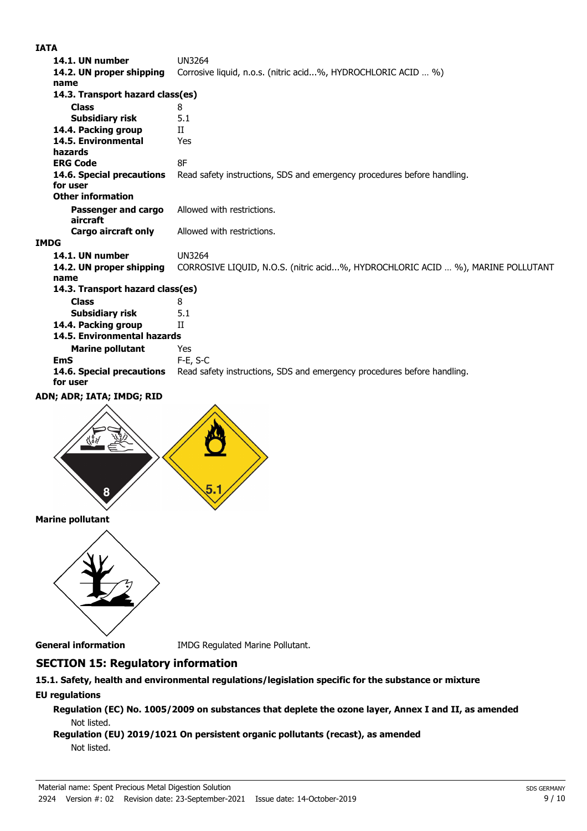#### **IATA**

| 14.1. UN number                       | <b>UN3264</b>                                                                   |  |  |
|---------------------------------------|---------------------------------------------------------------------------------|--|--|
| 14.2. UN proper shipping              | Corrosive liquid, n.o.s. (nitric acid%, HYDROCHLORIC ACID  %)                   |  |  |
| name                                  |                                                                                 |  |  |
| 14.3. Transport hazard class(es)      |                                                                                 |  |  |
| <b>Class</b>                          | 8                                                                               |  |  |
| Subsidiary risk                       | 5.1                                                                             |  |  |
| 14.4. Packing group                   | H                                                                               |  |  |
| 14.5. Environmental<br>hazards        | Yes                                                                             |  |  |
| <b>ERG Code</b>                       | 8F                                                                              |  |  |
| 14.6. Special precautions<br>for user | Read safety instructions, SDS and emergency procedures before handling.         |  |  |
| <b>Other information</b>              |                                                                                 |  |  |
| Passenger and cargo<br>aircraft       | Allowed with restrictions.                                                      |  |  |
| <b>Cargo aircraft only</b>            | Allowed with restrictions.                                                      |  |  |
| <b>IMDG</b>                           |                                                                                 |  |  |
| 14.1. UN number                       | <b>UN3264</b>                                                                   |  |  |
| 14.2. UN proper shipping<br>name      | CORROSIVE LIQUID, N.O.S. (nitric acid%, HYDROCHLORIC ACID  %), MARINE POLLUTANT |  |  |
| 14.3. Transport hazard class(es)      |                                                                                 |  |  |
| <b>Class</b>                          | 8                                                                               |  |  |
| Subsidiary risk                       | 5.1                                                                             |  |  |
| 14.4. Packing group                   | H                                                                               |  |  |
| 14.5. Environmental hazards           |                                                                                 |  |  |
| <b>Marine pollutant</b>               | Yes                                                                             |  |  |
| <b>EmS</b>                            | $F-E$ , S-C                                                                     |  |  |
| 14.6. Special precautions<br>for user | Read safety instructions, SDS and emergency procedures before handling.         |  |  |
| ADN; ADR; IATA; IMDG; RID             |                                                                                 |  |  |
|                                       |                                                                                 |  |  |

#### **ADN; ADR; IATA; IMDG; RID**



**Marine pollutant**



**General information** IMDG Regulated Marine Pollutant.

# **SECTION 15: Regulatory information**

#### **15.1. Safety, health and environmental regulations/legislation specific for the substance or mixture EU regulations**

**Regulation (EC) No. 1005/2009 on substances that deplete the ozone layer, Annex I and II, as amended** Not listed.

#### **Regulation (EU) 2019/1021 On persistent organic pollutants (recast), as amended** Not listed.